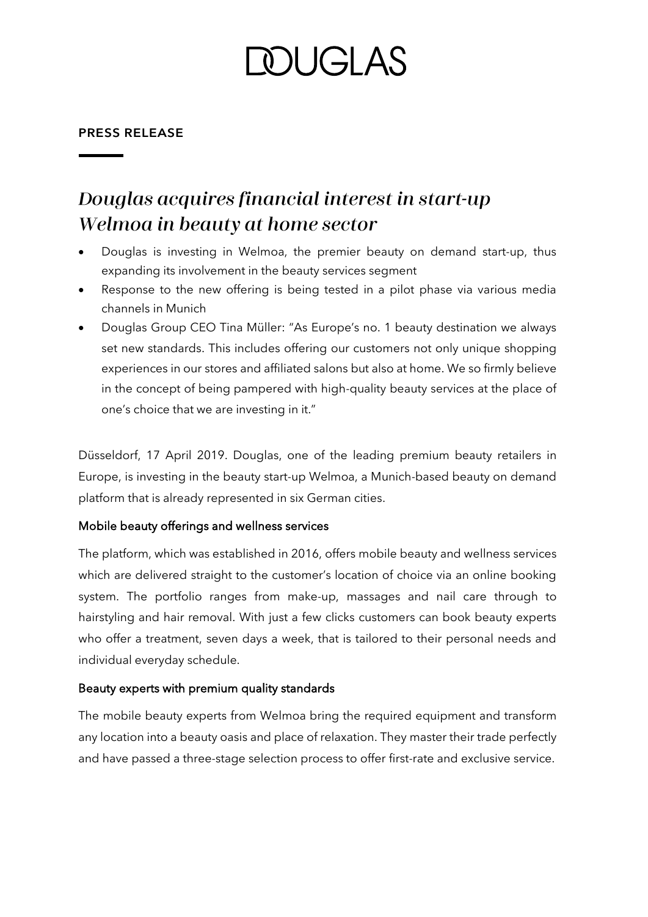# **DOUGLAS**

#### **PRESS RELEASE**

### Douglas acquires financial interest in start-up Welmoa in beauty at home sector

- Douglas is investing in Welmoa, the premier beauty on demand start-up, thus expanding its involvement in the beauty services segment
- Response to the new offering is being tested in a pilot phase via various media channels in Munich
- Douglas Group CEO Tina Müller: "As Europe's no. 1 beauty destination we always set new standards. This includes offering our customers not only unique shopping experiences in our stores and affiliated salons but also at home. We so firmly believe in the concept of being pampered with high-quality beauty services at the place of one's choice that we are investing in it."

Düsseldorf, 17 April 2019. Douglas, one of the leading premium beauty retailers in Europe, is investing in the beauty start-up Welmoa, a Munich-based beauty on demand platform that is already represented in six German cities.

#### Mobile beauty offerings and wellness services

The platform, which was established in 2016, offers mobile beauty and wellness services which are delivered straight to the customer's location of choice via an online booking system. The portfolio ranges from make-up, massages and nail care through to hairstyling and hair removal. With just a few clicks customers can book beauty experts who offer a treatment, seven days a week, that is tailored to their personal needs and individual everyday schedule.

#### Beauty experts with premium quality standards

The mobile beauty experts from Welmoa bring the required equipment and transform any location into a beauty oasis and place of relaxation. They master their trade perfectly and have passed a three-stage selection process to offer first-rate and exclusive service.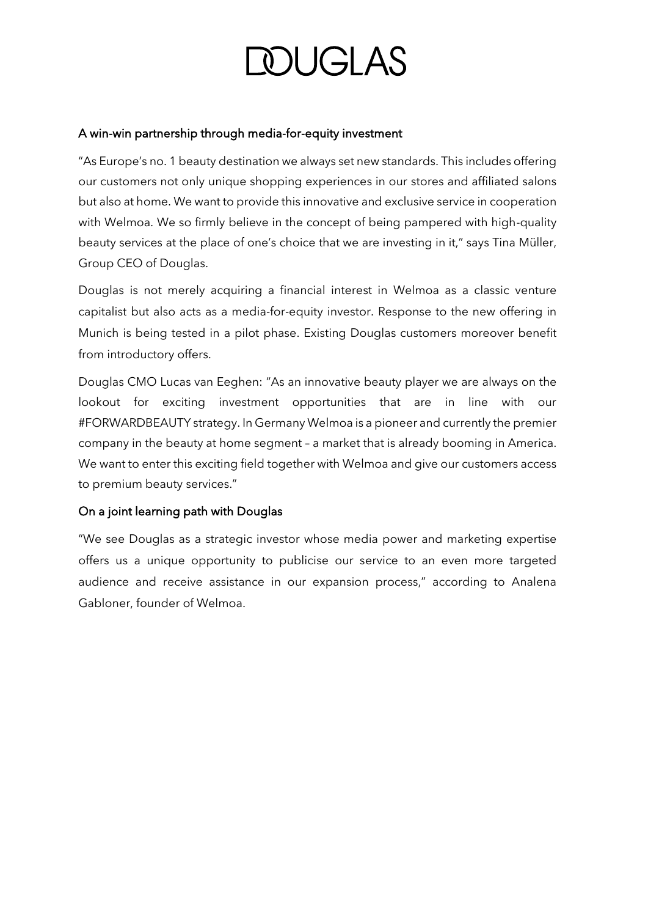# **DOUGLAS**

#### A win-win partnership through media-for-equity investment

"As Europe's no. 1 beauty destination we always set new standards. This includes offering our customers not only unique shopping experiences in our stores and affiliated salons but also at home. We want to provide this innovative and exclusive service in cooperation with Welmoa. We so firmly believe in the concept of being pampered with high-quality beauty services at the place of one's choice that we are investing in it," says Tina Müller, Group CEO of Douglas.

Douglas is not merely acquiring a financial interest in Welmoa as a classic venture capitalist but also acts as a media-for-equity investor. Response to the new offering in Munich is being tested in a pilot phase. Existing Douglas customers moreover benefit from introductory offers.

Douglas CMO Lucas van Eeghen: "As an innovative beauty player we are always on the lookout for exciting investment opportunities that are in line with our #FORWARDBEAUTY strategy. In Germany Welmoa is a pioneer and currently the premier company in the beauty at home segment – a market that is already booming in America. We want to enter this exciting field together with Welmoa and give our customers access to premium beauty services."

#### On a joint learning path with Douglas

"We see Douglas as a strategic investor whose media power and marketing expertise offers us a unique opportunity to publicise our service to an even more targeted audience and receive assistance in our expansion process," according to Analena Gabloner, founder of Welmoa.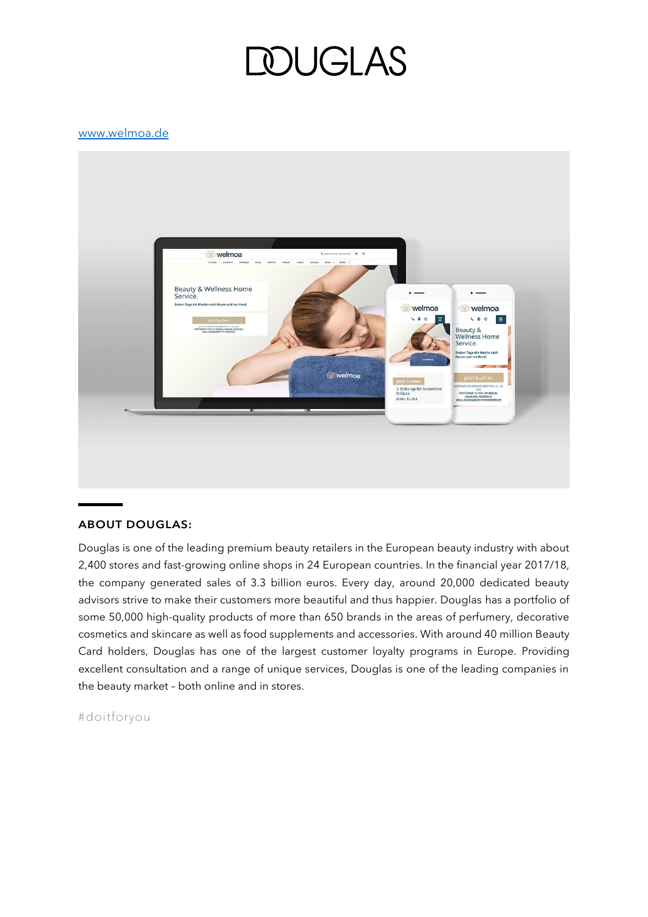### *DUGLAS*

#### [www.welmoa.de](http://www.welmoa.de/)



#### **ABOUT DOUGLAS:**

Douglas is one of the leading premium beauty retailers in the European beauty industry with about 2,400 stores and fast-growing online shops in 24 European countries. In the financial year 2017/18, the company generated sales of 3.3 billion euros. Every day, around 20,000 dedicated beauty advisors strive to make their customers more beautiful and thus happier. Douglas has a portfolio of some 50,000 high-quality products of more than 650 brands in the areas of perfumery, decorative cosmetics and skincare as well as food supplements and accessories. With around 40 million Beauty Card holders, Douglas has one of the largest customer loyalty programs in Europe. Providing excellent consultation and a range of unique services, Douglas is one of the leading companies in the beauty market – both online and in stores.

#doitforyou